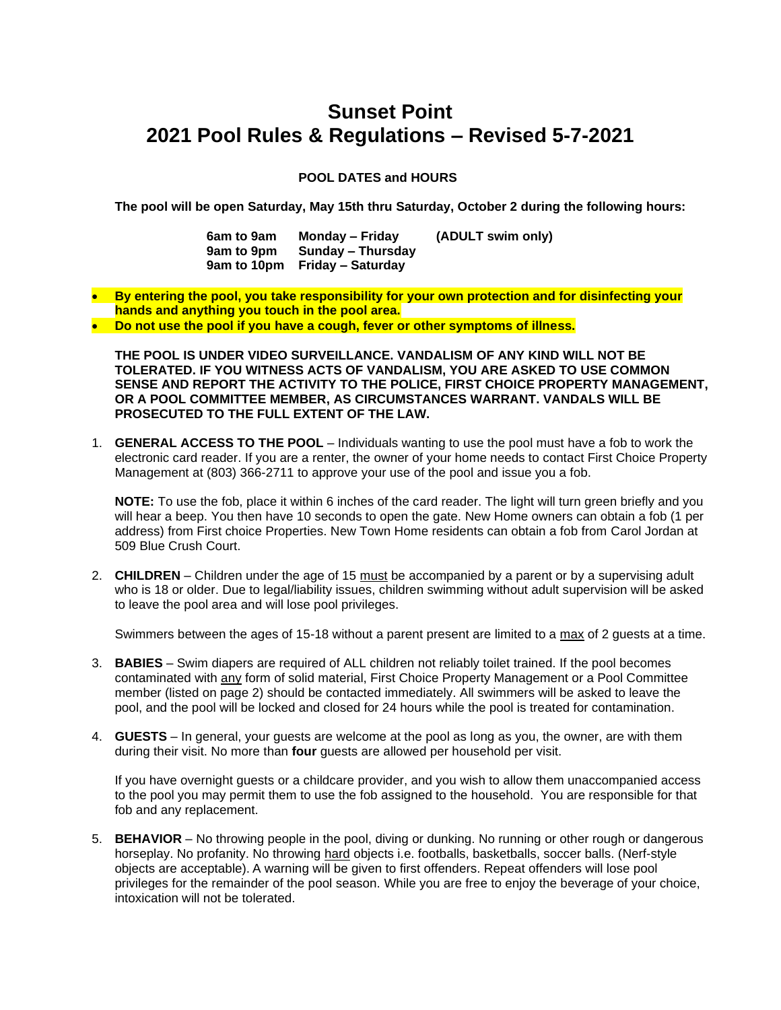## **Sunset Point 2021 Pool Rules & Regulations – Revised 5-7-2021**

## **POOL DATES and HOURS**

**The pool will be open Saturday, May 15th thru Saturday, October 2 during the following hours:**

| 6am to 9am | Monday – Friday               | (ADULT swim only) |
|------------|-------------------------------|-------------------|
| 9am to 9pm | Sunday – Thursday             |                   |
|            | 9am to 10pm Friday – Saturday |                   |

• **By entering the pool, you take responsibility for your own protection and for disinfecting your hands and anything you touch in the pool area.**

• **Do not use the pool if you have a cough, fever or other symptoms of illness.**

**THE POOL IS UNDER VIDEO SURVEILLANCE. VANDALISM OF ANY KIND WILL NOT BE TOLERATED. IF YOU WITNESS ACTS OF VANDALISM, YOU ARE ASKED TO USE COMMON SENSE AND REPORT THE ACTIVITY TO THE POLICE, FIRST CHOICE PROPERTY MANAGEMENT, OR A POOL COMMITTEE MEMBER, AS CIRCUMSTANCES WARRANT. VANDALS WILL BE PROSECUTED TO THE FULL EXTENT OF THE LAW.** 

1. **GENERAL ACCESS TO THE POOL** – Individuals wanting to use the pool must have a fob to work the electronic card reader. If you are a renter, the owner of your home needs to contact First Choice Property Management at (803) 366-2711 to approve your use of the pool and issue you a fob.

**NOTE:** To use the fob, place it within 6 inches of the card reader. The light will turn green briefly and you will hear a beep. You then have 10 seconds to open the gate. New Home owners can obtain a fob (1 per address) from First choice Properties. New Town Home residents can obtain a fob from Carol Jordan at 509 Blue Crush Court.

2. **CHILDREN** – Children under the age of 15 must be accompanied by a parent or by a supervising adult who is 18 or older. Due to legal/liability issues, children swimming without adult supervision will be asked to leave the pool area and will lose pool privileges.

Swimmers between the ages of 15-18 without a parent present are limited to a max of 2 guests at a time.

- 3. **BABIES**  Swim diapers are required of ALL children not reliably toilet trained. If the pool becomes contaminated with any form of solid material, First Choice Property Management or a Pool Committee member (listed on page 2) should be contacted immediately. All swimmers will be asked to leave the pool, and the pool will be locked and closed for 24 hours while the pool is treated for contamination.
- 4. **GUESTS**  In general, your guests are welcome at the pool as long as you, the owner, are with them during their visit. No more than **four** guests are allowed per household per visit.

If you have overnight guests or a childcare provider, and you wish to allow them unaccompanied access to the pool you may permit them to use the fob assigned to the household. You are responsible for that fob and any replacement.

5. **BEHAVIOR** – No throwing people in the pool, diving or dunking. No running or other rough or dangerous horseplay. No profanity. No throwing hard objects i.e. footballs, basketballs, soccer balls. (Nerf-style objects are acceptable). A warning will be given to first offenders. Repeat offenders will lose pool privileges for the remainder of the pool season. While you are free to enjoy the beverage of your choice, intoxication will not be tolerated.